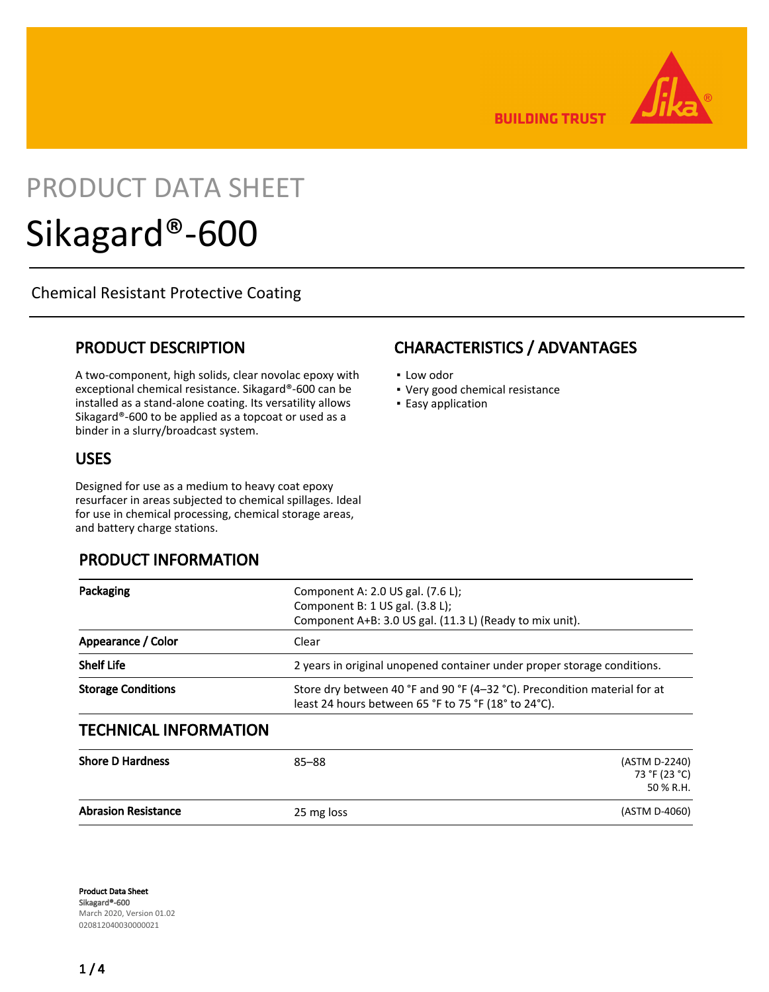**BUILDING TRUST** 

# PRODUCT DATA SHEET Sikagard®-600

Chemical Resistant Protective Coating

## PRODUCT DESCRIPTION

A two-component, high solids, clear novolac epoxy with exceptional chemical resistance. Sikagard®-600 can be installed as a stand-alone coating. Its versatility allows Sikagard®-600 to be applied as a topcoat or used as a binder in a slurry/broadcast system.

## USES

Designed for use as a medium to heavy coat epoxy resurfacer in areas subjected to chemical spillages. Ideal for use in chemical processing, chemical storage areas, and battery charge stations.

## PRODUCT INFORMATION

# CHARACTERISTICS / ADVANTAGES

- Low odor
- Very good chemical resistance
- **Easy application**

|                           | least 24 hours between 65 °F to 75 °F (18° to 24°C).                      |  |  |  |
|---------------------------|---------------------------------------------------------------------------|--|--|--|
| <b>Storage Conditions</b> | Store dry between 40 °F and 90 °F (4-32 °C). Precondition material for at |  |  |  |
| <b>Shelf Life</b>         | 2 years in original unopened container under proper storage conditions.   |  |  |  |
| Appearance / Color        | Clear                                                                     |  |  |  |
|                           | Component A+B: 3.0 US gal. (11.3 L) (Ready to mix unit).                  |  |  |  |
| Packaging                 | Component A: 2.0 US gal. (7.6 L);<br>Component B: 1 US gal. (3.8 L);      |  |  |  |

| <b>Abrasion Resistance</b> | 25 mg loss | (ASTM D-4060)                  |  |  |
|----------------------------|------------|--------------------------------|--|--|
|                            |            | 50 % R.H.                      |  |  |
| <b>Shore D Hardness</b>    | $85 - 88$  | (ASTM D-2240)<br>73 °F (23 °C) |  |  |

Product Data Sheet Sikagard®-600 March 2020, Version 01.02 020812040030000021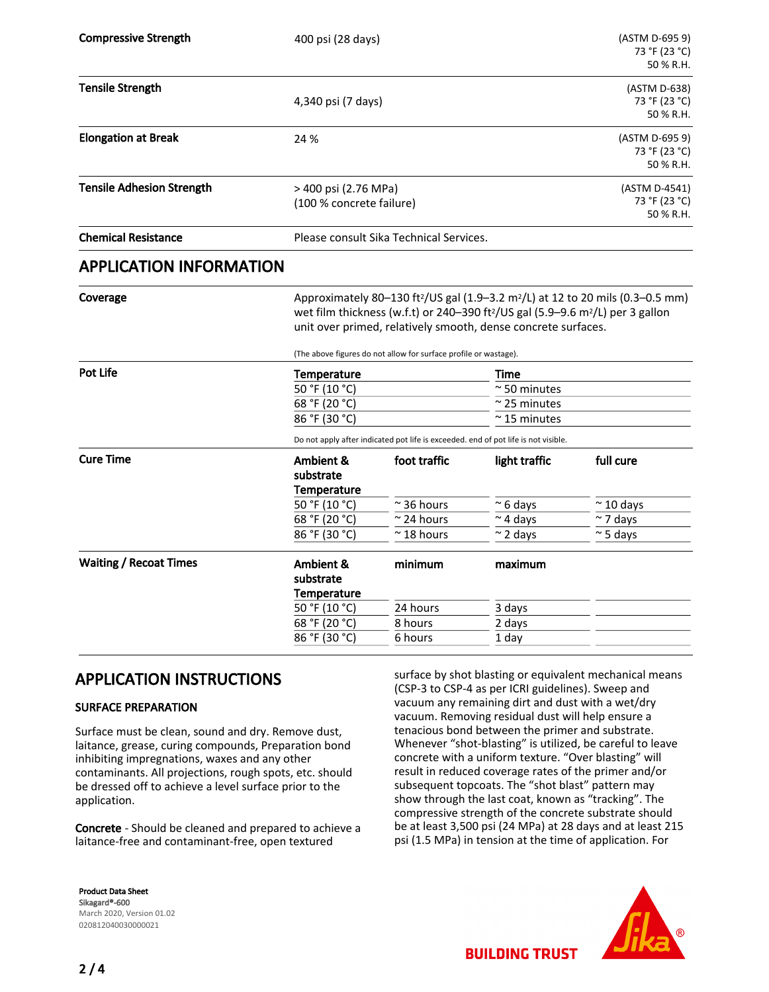| <b>Compressive Strength</b>      |                                                  | 400 psi (28 days)                                                                                                                                                                                                                                                                                                                                     |                |                                             |  |  |
|----------------------------------|--------------------------------------------------|-------------------------------------------------------------------------------------------------------------------------------------------------------------------------------------------------------------------------------------------------------------------------------------------------------------------------------------------------------|----------------|---------------------------------------------|--|--|
| <b>Tensile Strength</b>          |                                                  | 4,340 psi (7 days)                                                                                                                                                                                                                                                                                                                                    |                |                                             |  |  |
| <b>Elongation at Break</b>       | 24 %                                             |                                                                                                                                                                                                                                                                                                                                                       |                |                                             |  |  |
| <b>Tensile Adhesion Strength</b> | > 400 psi (2.76 MPa)<br>(100 % concrete failure) |                                                                                                                                                                                                                                                                                                                                                       |                | (ASTM D-4541)<br>73 °F (23 °C)<br>50 % R.H. |  |  |
| <b>Chemical Resistance</b>       |                                                  | Please consult Sika Technical Services.                                                                                                                                                                                                                                                                                                               |                |                                             |  |  |
| <b>APPLICATION INFORMATION</b>   |                                                  |                                                                                                                                                                                                                                                                                                                                                       |                |                                             |  |  |
| Coverage                         |                                                  | Approximately 80-130 ft <sup>2</sup> /US gal (1.9-3.2 m <sup>2</sup> /L) at 12 to 20 mils (0.3-0.5 mm)<br>wet film thickness (w.f.t) or 240-390 ft <sup>2</sup> /US gal (5.9-9.6 m <sup>2</sup> /L) per 3 gallon<br>unit over primed, relatively smooth, dense concrete surfaces.<br>(The above figures do not allow for surface profile or wastage). |                |                                             |  |  |
| <b>Pot Life</b>                  | Temperature                                      |                                                                                                                                                                                                                                                                                                                                                       |                | Time                                        |  |  |
|                                  | 50 °F (10 °C)                                    |                                                                                                                                                                                                                                                                                                                                                       |                | $\approx$ 50 minutes                        |  |  |
|                                  | $\overline{68}$ °F (20 °C)                       |                                                                                                                                                                                                                                                                                                                                                       |                | $\sim$ 25 minutes                           |  |  |
|                                  | 86 °F (30 °C)                                    |                                                                                                                                                                                                                                                                                                                                                       |                | $\approx$ 15 minutes                        |  |  |
|                                  |                                                  | Do not apply after indicated pot life is exceeded. end of pot life is not visible.                                                                                                                                                                                                                                                                    |                |                                             |  |  |
| <b>Cure Time</b>                 | Ambient &<br>substrate<br><b>Temperature</b>     | foot traffic                                                                                                                                                                                                                                                                                                                                          | light traffic  | full cure                                   |  |  |
|                                  | 50 °F (10 °C)                                    | $~\sim$ 36 hours                                                                                                                                                                                                                                                                                                                                      | $~\sim$ 6 days | $\approx$ 10 days                           |  |  |
|                                  | 68 °F (20 °C)                                    | $\approx$ 24 hours                                                                                                                                                                                                                                                                                                                                    | $~\sim$ 4 days | $\sim$ 7 days                               |  |  |
|                                  | 86 °F (30 °C)                                    | $\sim$ 18 hours                                                                                                                                                                                                                                                                                                                                       | $\sim$ 2 days  | $\approx$ 5 days                            |  |  |
| <b>Waiting / Recoat Times</b>    | Ambient &<br>substrate<br><b>Temperature</b>     | minimum                                                                                                                                                                                                                                                                                                                                               | maximum        |                                             |  |  |
|                                  | 50 °F (10 °C)                                    | 24 hours                                                                                                                                                                                                                                                                                                                                              | 3 days         |                                             |  |  |
|                                  | 68 °F (20 °C)                                    | 8 hours                                                                                                                                                                                                                                                                                                                                               | 2 days         |                                             |  |  |
|                                  | 86 °F (30 °C)                                    | 6 hours                                                                                                                                                                                                                                                                                                                                               | 1 day          |                                             |  |  |

## APPLICATION INSTRUCTIONS

#### SURFACE PREPARATION

Surface must be clean, sound and dry. Remove dust, laitance, grease, curing compounds, Preparation bond inhibiting impregnations, waxes and any other contaminants. All projections, rough spots, etc. should be dressed off to achieve a level surface prior to the application.

Concrete - Should be cleaned and prepared to achieve a laitance-free and contaminant-free, open textured

Product Data Sheet Sikagard®-600 March 2020, Version 01.02 020812040030000021

surface by shot blasting or equivalent mechanical means (CSP-3 to CSP-4 as per ICRI guidelines). Sweep and vacuum any remaining dirt and dust with a wet/dry vacuum. Removing residual dust will help ensure a tenacious bond between the primer and substrate. Whenever "shot-blasting" is utilized, be careful to leave concrete with a uniform texture. "Over blasting" will result in reduced coverage rates of the primer and/or subsequent topcoats. The "shot blast" pattern may show through the last coat, known as "tracking". The compressive strength of the concrete substrate should be at least 3,500 psi (24 MPa) at 28 days and at least 215 psi (1.5 MPa) in tension at the time of application. For

**BUILDING TRUST** 

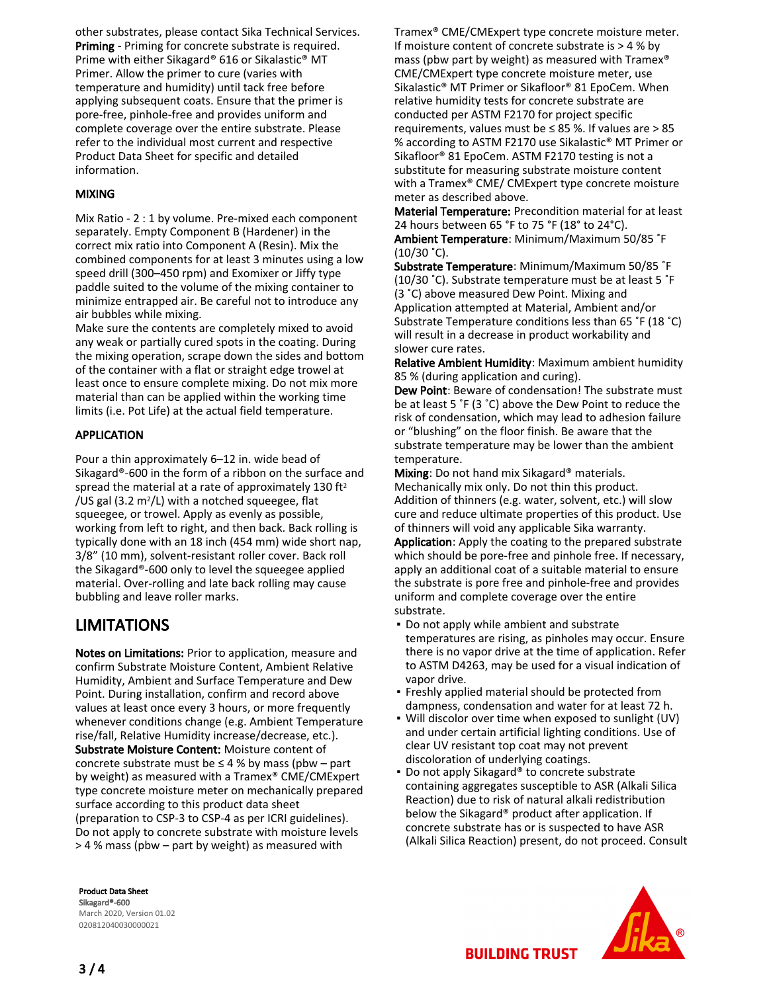other substrates, please contact Sika Technical Services. Priming - Priming for concrete substrate is required. Prime with either Sikagard® 616 or Sikalastic® MT Primer. Allow the primer to cure (varies with temperature and humidity) until tack free before applying subsequent coats. Ensure that the primer is pore-free, pinhole-free and provides uniform and complete coverage over the entire substrate. Please refer to the individual most current and respective Product Data Sheet for specific and detailed information.

### MIXING

Mix Ratio - 2 : 1 by volume. Pre-mixed each component separately. Empty Component B (Hardener) in the correct mix ratio into Component A (Resin). Mix the combined components for at least 3 minutes using a low speed drill (300–450 rpm) and Exomixer or Jiffy type paddle suited to the volume of the mixing container to minimize entrapped air. Be careful not to introduce any air bubbles while mixing.

Make sure the contents are completely mixed to avoid any weak or partially cured spots in the coating. During the mixing operation, scrape down the sides and bottom of the container with a flat or straight edge trowel at least once to ensure complete mixing. Do not mix more material than can be applied within the working time limits (i.e. Pot Life) at the actual field temperature.

## APPLICATION

Pour a thin approximately 6–12 in. wide bead of Sikagard®-600 in the form of a ribbon on the surface and spread the material at a rate of approximately 130 ft<sup>2</sup> /US gal (3.2  $m^2/L$ ) with a notched squeegee, flat squeegee, or trowel. Apply as evenly as possible, working from left to right, and then back. Back rolling is typically done with an 18 inch (454 mm) wide short nap, 3/8" (10 mm), solvent-resistant roller cover. Back roll the Sikagard®-600 only to level the squeegee applied material. Over-rolling and late back rolling may cause bubbling and leave roller marks.

## LIMITATIONS

Notes on Limitations: Prior to application, measure and confirm Substrate Moisture Content, Ambient Relative Humidity, Ambient and Surface Temperature and Dew Point. During installation, confirm and record above values at least once every 3 hours, or more frequently whenever conditions change (e.g. Ambient Temperature rise/fall, Relative Humidity increase/decrease, etc.). Substrate Moisture Content: Moisture content of concrete substrate must be  $\leq$  4 % by mass (pbw – part by weight) as measured with a Tramex® CME/CMExpert type concrete moisture meter on mechanically prepared surface according to this product data sheet (preparation to CSP-3 to CSP-4 as per ICRI guidelines). Do not apply to concrete substrate with moisture levels > 4 % mass (pbw – part by weight) as measured with

Tramex® CME/CMExpert type concrete moisture meter. If moisture content of concrete substrate is > 4 % by mass (pbw part by weight) as measured with Tramex® CME/CMExpert type concrete moisture meter, use Sikalastic® MT Primer or Sikafloor® 81 EpoCem. When relative humidity tests for concrete substrate are conducted per ASTM F2170 for project specific requirements, values must be ≤ 85 %. If values are > 85 % according to ASTM F2170 use Sikalastic® MT Primer or Sikafloor® 81 EpoCem. ASTM F2170 testing is not a substitute for measuring substrate moisture content with a Tramex® CME/ CMExpert type concrete moisture meter as described above.

Material Temperature: Precondition material for at least 24 hours between 65 °F to 75 °F (18° to 24°C). Ambient Temperature: Minimum/Maximum 50/85 ˚F (10/30 ˚C).

Substrate Temperature: Minimum/Maximum 50/85 ˚F (10/30 ˚C). Substrate temperature must be at least 5 ˚F (3 ˚C) above measured Dew Point. Mixing and Application attempted at Material, Ambient and/or Substrate Temperature conditions less than 65 ˚F (18 ˚C) will result in a decrease in product workability and slower cure rates.

Relative Ambient Humidity: Maximum ambient humidity 85 % (during application and curing).

Dew Point: Beware of condensation! The substrate must be at least 5 ˚F (3 ˚C) above the Dew Point to reduce the risk of condensation, which may lead to adhesion failure or "blushing" on the floor finish. Be aware that the substrate temperature may be lower than the ambient temperature.

Mixing: Do not hand mix Sikagard<sup>®</sup> materials. Mechanically mix only. Do not thin this product. Addition of thinners (e.g. water, solvent, etc.) will slow cure and reduce ultimate properties of this product. Use of thinners will void any applicable Sika warranty.

Application: Apply the coating to the prepared substrate which should be pore-free and pinhole free. If necessary, apply an additional coat of a suitable material to ensure the substrate is pore free and pinhole-free and provides uniform and complete coverage over the entire substrate.

- Do not apply while ambient and substrate temperatures are rising, as pinholes may occur. Ensure there is no vapor drive at the time of application. Refer to ASTM D4263, may be used for a visual indication of vapor drive.
- **Freshly applied material should be protected from** dampness, condensation and water for at least 72 h.
- Will discolor over time when exposed to sunlight (UV) and under certain artificial lighting conditions. Use of clear UV resistant top coat may not prevent discoloration of underlying coatings.
- Do not apply Sikagard® to concrete substrate containing aggregates susceptible to ASR (Alkali Silica Reaction) due to risk of natural alkali redistribution below the Sikagard® product after application. If concrete substrate has or is suspected to have ASR (Alkali Silica Reaction) present, do not proceed. Consult

Product Data Sheet Sikagard®-600 March 2020, Version 01.02 020812040030000021



**BUILDING TRUST**